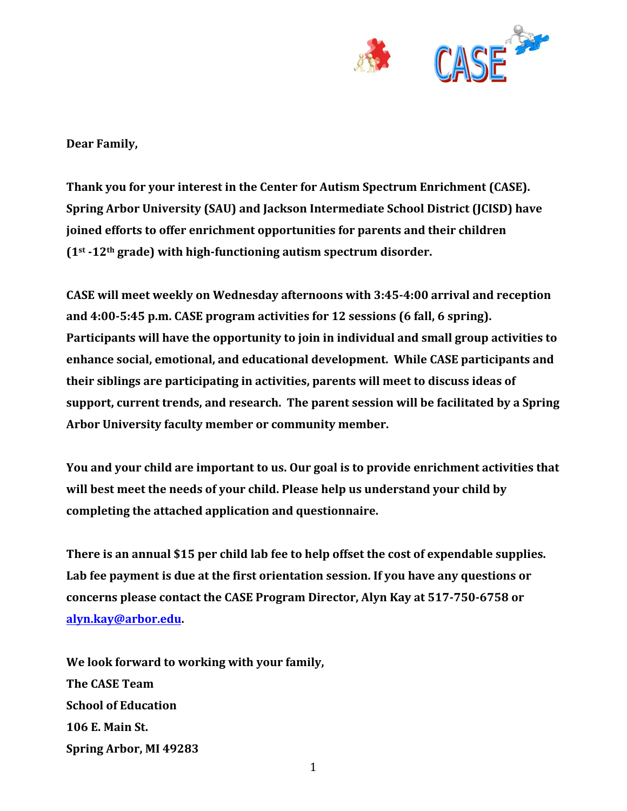

Dear Family,

**Thank you for your interest in the Center for Autism Spectrum Enrichment (CASE). Spring Arbor University (SAU) and Jackson Intermediate School District (JCISD) have joined efforts to offer enrichment opportunities for parents and their children (1st -12th grade) with high-functioning autism spectrum disorder.** 

**CASE** will meet weekly on Wednesday afternoons with 3:45-4:00 arrival and reception and 4:00-5:45 p.m. CASE program activities for 12 sessions (6 fall, 6 spring). Participants will have the opportunity to join in individual and small group activities to enhance social, emotional, and educational development. While CASE participants and **their siblings are participating in activities, parents will meet to discuss ideas of support, current trends, and research. The parent session will be facilitated by a Spring** Arbor University faculty member or community member.

**You and your child are important to us. Our goal is to provide enrichment activities that** will best meet the needs of your child. Please help us understand your child by completing the attached application and questionnaire.

**There is an annual \$15 per child lab fee to help offset the cost of expendable supplies.** Lab fee payment is due at the first orientation session. If you have any questions or **concerns** please contact the CASE Program Director, Alyn Kay at 517-750-6758 or **alyn.kay@arbor.edu.**

We look forward to working with your family, **The CASE Team School of Education 106 E. Main St. Spring Arbor, MI 49283**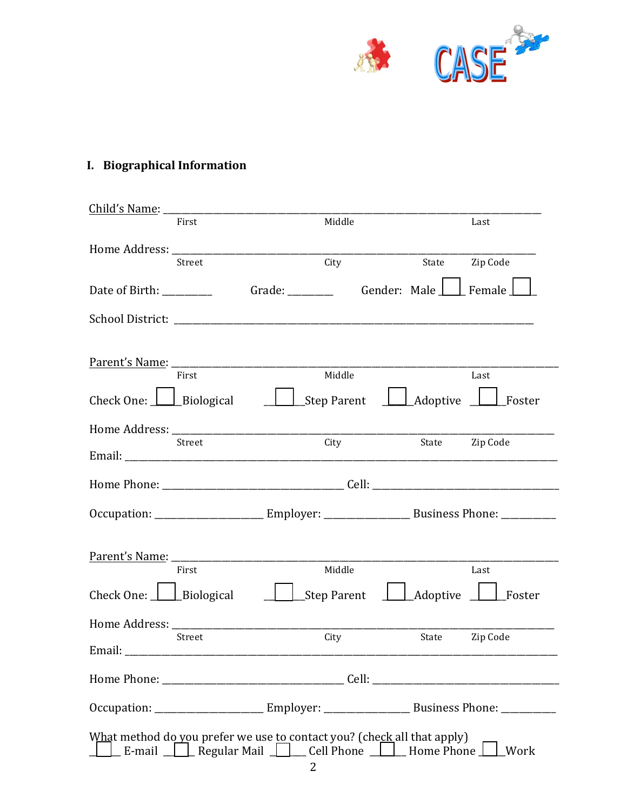

# I. Biographical Information

| Child's Name: _________                                                           |                     |                    |              |                        |                                                                                                               |
|-----------------------------------------------------------------------------------|---------------------|--------------------|--------------|------------------------|---------------------------------------------------------------------------------------------------------------|
|                                                                                   | First               | Middle             |              |                        | Last                                                                                                          |
|                                                                                   | Street              | City               |              | State                  | Zip Code                                                                                                      |
| Date of Birth: _________                                                          |                     |                    | Gender: Male |                        | Female                                                                                                        |
|                                                                                   |                     |                    |              |                        |                                                                                                               |
|                                                                                   | First               | Middle             |              |                        | Last                                                                                                          |
| Check One: $\Box$ Biological                                                      |                     | <b>Step Parent</b> |              | $\perp$ Adoptive       | Boster                                                                                                        |
|                                                                                   | Street              | City               |              |                        | State Zip Code                                                                                                |
|                                                                                   |                     |                    |              |                        |                                                                                                               |
|                                                                                   |                     |                    |              |                        |                                                                                                               |
|                                                                                   |                     |                    |              |                        | Occupation: ___________________________Employer: __________________________Business Phone: ______________     |
|                                                                                   | First               | Middle             |              |                        | Last                                                                                                          |
| Check One: $\boxed{\phantom{a}}$ Biological                                       |                     | Step Parent        |              | $\Box$ Adoptive $\Box$ | Foster                                                                                                        |
| Home Address: ________                                                            |                     |                    |              |                        |                                                                                                               |
|                                                                                   | Street              | City               |              | State                  | Zip Code                                                                                                      |
|                                                                                   |                     |                    |              |                        |                                                                                                               |
|                                                                                   |                     |                    |              |                        | Occupation: ____________________________Employer: _____________________________Business Phone: ______________ |
| What method do you prefer we use to contact you? (check all that apply)<br>E-mail | Regular Mail $\Box$ | Cell Phone         |              | Home Phone             | Work                                                                                                          |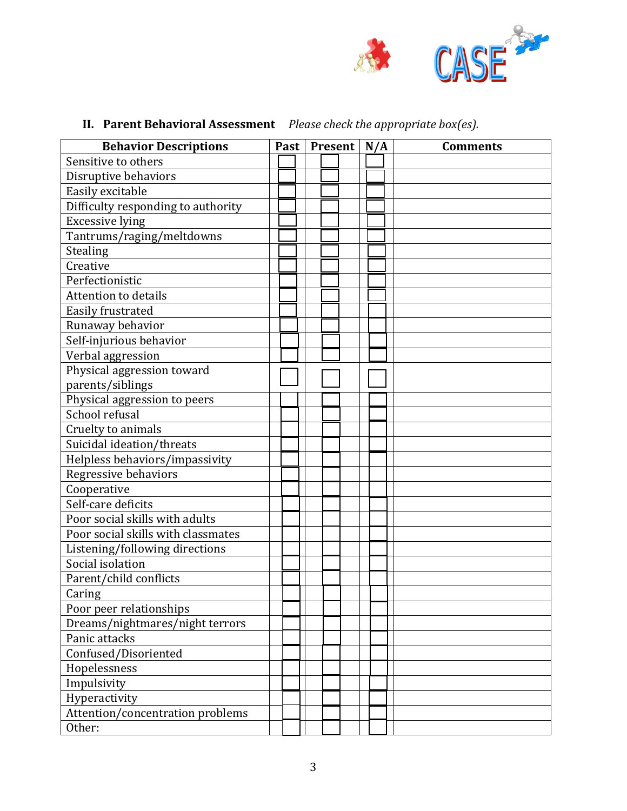

# **II.** Parent Behavioral Assessment *Please check the appropriate box(es).*

| <b>Behavior Descriptions</b>       | Past |  | <b>Present</b> | N/A | <b>Comments</b> |
|------------------------------------|------|--|----------------|-----|-----------------|
| Sensitive to others                |      |  |                |     |                 |
| Disruptive behaviors               |      |  |                |     |                 |
| Easily excitable                   |      |  |                |     |                 |
| Difficulty responding to authority |      |  |                |     |                 |
| <b>Excessive lying</b>             |      |  |                |     |                 |
| Tantrums/raging/meltdowns          |      |  |                |     |                 |
| Stealing                           |      |  |                |     |                 |
| Creative                           |      |  |                |     |                 |
| Perfectionistic                    |      |  |                |     |                 |
| <b>Attention to details</b>        |      |  |                |     |                 |
| Easily frustrated                  |      |  |                |     |                 |
| Runaway behavior                   |      |  |                |     |                 |
| Self-injurious behavior            |      |  |                |     |                 |
| Verbal aggression                  |      |  |                |     |                 |
| Physical aggression toward         |      |  |                |     |                 |
| parents/siblings                   |      |  |                |     |                 |
| Physical aggression to peers       |      |  |                |     |                 |
| School refusal                     |      |  |                |     |                 |
| Cruelty to animals                 |      |  |                |     |                 |
| Suicidal ideation/threats          |      |  |                |     |                 |
| Helpless behaviors/impassivity     |      |  |                |     |                 |
| Regressive behaviors               |      |  |                |     |                 |
| Cooperative                        |      |  |                |     |                 |
| Self-care deficits                 |      |  |                |     |                 |
| Poor social skills with adults     |      |  |                |     |                 |
| Poor social skills with classmates |      |  |                |     |                 |
| Listening/following directions     |      |  |                |     |                 |
| Social isolation                   |      |  |                |     |                 |
| Parent/child conflicts             |      |  |                |     |                 |
| Caring                             |      |  |                |     |                 |
| Poor peer relationships            |      |  |                |     |                 |
| Dreams/nightmares/night terrors    |      |  |                |     |                 |
| Panic attacks                      |      |  |                |     |                 |
| Confused/Disoriented               |      |  |                |     |                 |
| Hopelessness                       |      |  |                |     |                 |
| Impulsivity                        |      |  |                |     |                 |
| Hyperactivity                      |      |  |                |     |                 |
| Attention/concentration problems   |      |  |                |     |                 |
| Other:                             |      |  |                |     |                 |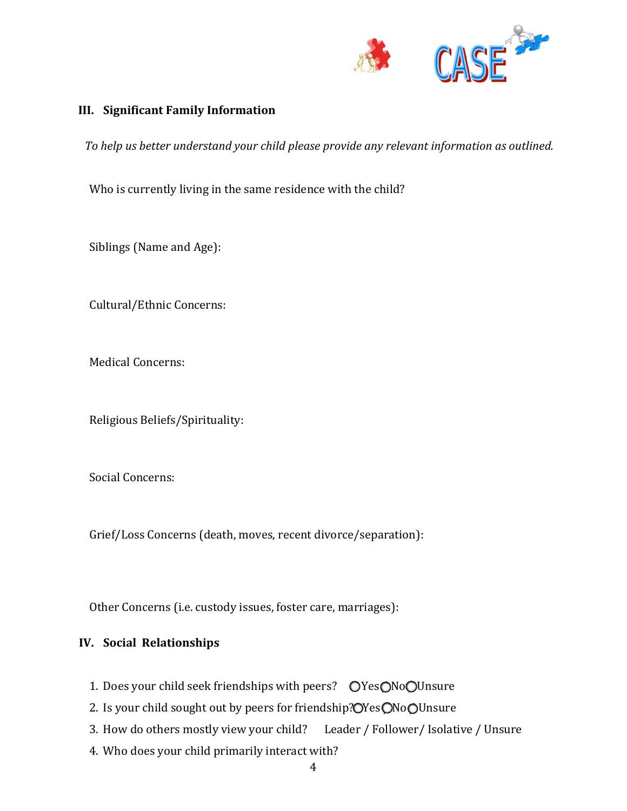

## **III. Significant Family Information**

To help us better understand your child please provide any relevant information as outlined.

Who is currently living in the same residence with the child?

Siblings (Name and Age):

Cultural/Ethnic Concerns:

Medical Concerns:

Religious Beliefs/Spirituality:

Social Concerns:

Grief/Loss Concerns (death, moves, recent divorce/separation):

Other Concerns (i.e. custody issues, foster care, marriages):

## **IV.** Social Relationships

- 1. Does your child seek friendships with peers?  $OYesONoOUnsure$
- 2. Is your child sought out by peers for friendship? OYes ONo OUnsure
- 3. How do others mostly view your child? Leader / Follower/ Isolative / Unsure
- 4. Who does your child primarily interact with?
	- 4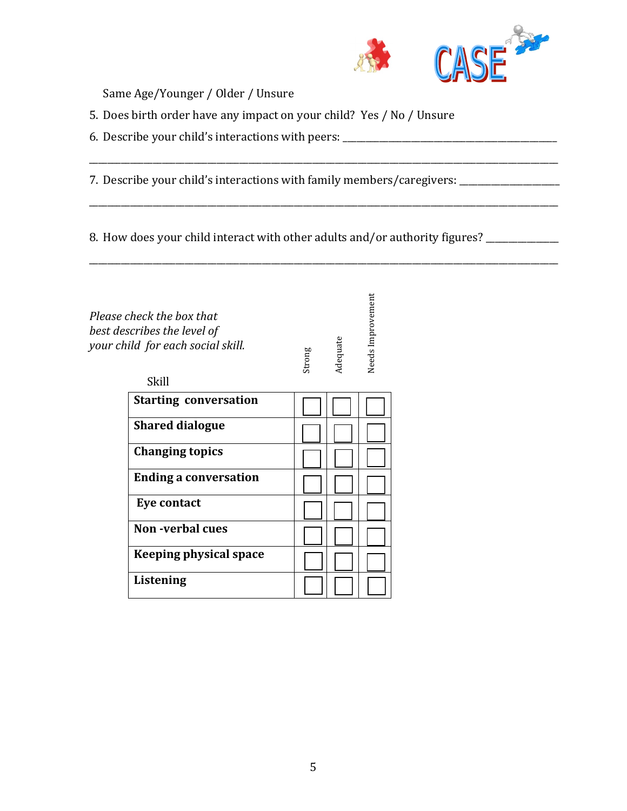

Same Age/Younger / Older / Unsure

- 5. Does birth order have any impact on your child? Yes / No / Unsure
- 6. Describe your child's interactions with peers: \_\_\_\_\_\_\_\_\_\_\_\_\_\_\_\_\_\_\_\_\_\_\_\_\_\_\_\_\_\_

7. Describe your child's interactions with family members/caregivers: \_\_\_\_\_\_\_\_\_\_\_

8. How does your child interact with other adults and/or authority figures? \_\_\_\_\_\_\_\_\_\_\_

\_\_\_\_\_\_\_\_\_\_\_\_\_\_\_\_\_\_\_\_\_\_\_\_\_\_\_\_\_\_\_\_\_\_\_\_\_\_\_\_\_\_\_\_\_\_\_\_\_\_\_\_\_\_\_\_\_\_\_\_\_\_\_\_\_\_\_\_\_\_\_\_\_\_\_\_\_\_\_\_\_\_\_\_\_\_\_\_\_\_\_\_\_\_\_\_\_\_\_\_\_\_\_

\_\_\_\_\_\_\_\_\_\_\_\_\_\_\_\_\_\_\_\_\_\_\_\_\_\_\_\_\_\_\_\_\_\_\_\_\_\_\_\_\_\_\_\_\_\_\_\_\_\_\_\_\_\_\_\_\_\_\_\_\_\_\_\_\_\_\_\_\_\_\_\_\_\_\_\_\_\_\_\_\_\_\_\_\_\_\_\_\_\_\_\_\_\_\_\_\_\_\_\_\_\_\_

\_\_\_\_\_\_\_\_\_\_\_\_\_\_\_\_\_\_\_\_\_\_\_\_\_\_\_\_\_\_\_\_\_\_\_\_\_\_\_\_\_\_\_\_\_\_\_\_\_\_\_\_\_\_\_\_\_\_\_\_\_\_\_\_\_\_\_\_\_\_\_\_\_\_\_\_\_\_\_\_\_\_\_\_\_\_\_\_\_\_\_\_\_\_\_\_\_\_\_\_\_\_\_

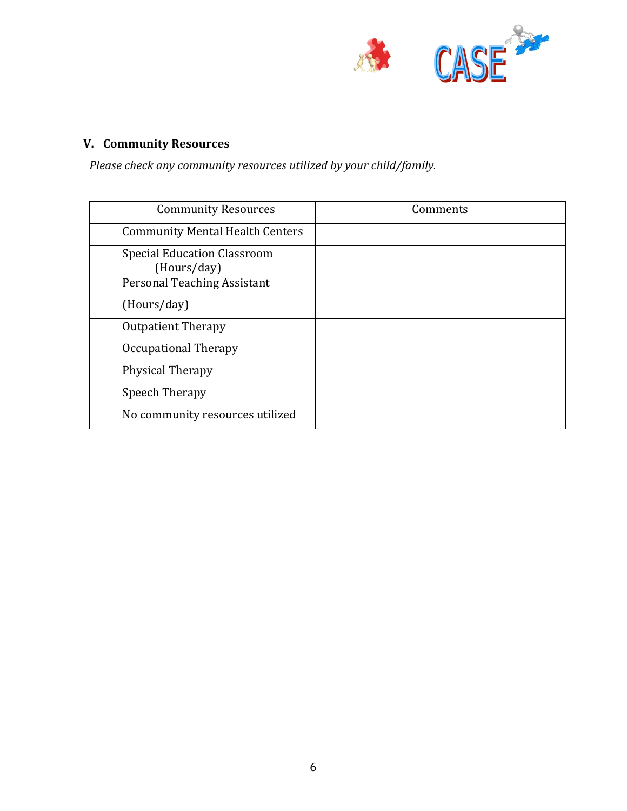

# **V. Community Resources**

Please check any community resources utilized by your child/family.

| <b>Community Resources</b>                        | Comments |
|---------------------------------------------------|----------|
| <b>Community Mental Health Centers</b>            |          |
| <b>Special Education Classroom</b><br>(Hours/day) |          |
| <b>Personal Teaching Assistant</b>                |          |
| (Hours/day)                                       |          |
| <b>Outpatient Therapy</b>                         |          |
| Occupational Therapy                              |          |
| Physical Therapy                                  |          |
| Speech Therapy                                    |          |
| No community resources utilized                   |          |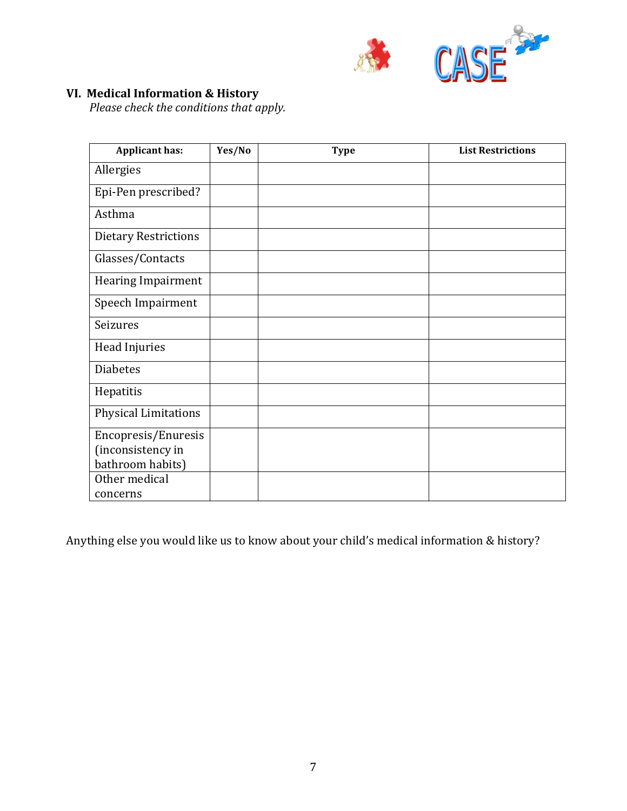

## **VI. Medical Information & History**

*Please check the conditions that apply.* 

| <b>Applicant has:</b>       | Yes/No | <b>Type</b> | <b>List Restrictions</b> |
|-----------------------------|--------|-------------|--------------------------|
| Allergies                   |        |             |                          |
| Epi-Pen prescribed?         |        |             |                          |
| Asthma                      |        |             |                          |
| <b>Dietary Restrictions</b> |        |             |                          |
| Glasses/Contacts            |        |             |                          |
| <b>Hearing Impairment</b>   |        |             |                          |
| Speech Impairment           |        |             |                          |
| Seizures                    |        |             |                          |
| Head Injuries               |        |             |                          |
| <b>Diabetes</b>             |        |             |                          |
| Hepatitis                   |        |             |                          |
| <b>Physical Limitations</b> |        |             |                          |
| Encopresis/Enuresis         |        |             |                          |
| (inconsistency in           |        |             |                          |
| bathroom habits)            |        |             |                          |
| Other medical               |        |             |                          |
| concerns                    |        |             |                          |

Anything else you would like us to know about your child's medical information & history?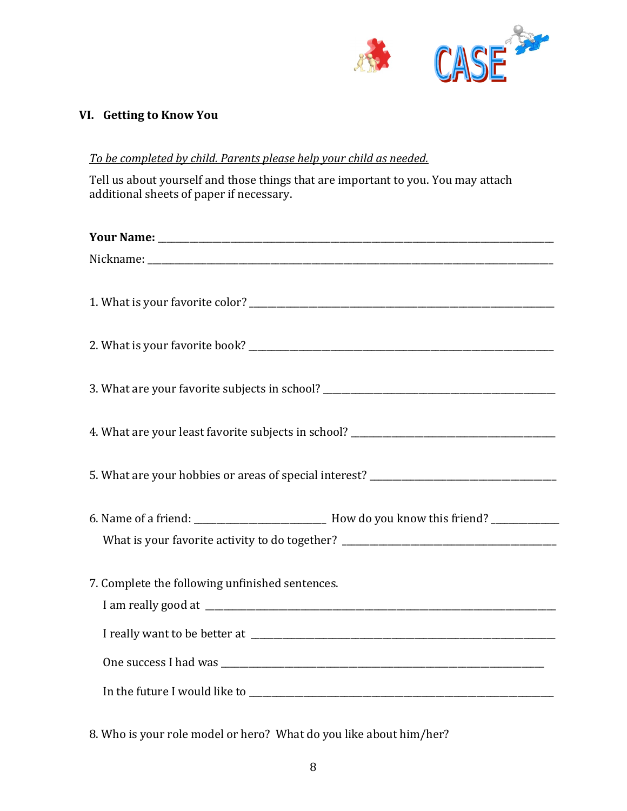

# **VI.** Getting to Know You

#### To be completed by child. Parents please help your child as needed.

Tell us about yourself and those things that are important to you. You may attach additional sheets of paper if necessary.

| 4. What are your least favorite subjects in school? _____________________________ |
|-----------------------------------------------------------------------------------|
|                                                                                   |
| What is your favorite activity to do together? __________________________________ |
| 7. Complete the following unfinished sentences.                                   |
|                                                                                   |
|                                                                                   |
|                                                                                   |
|                                                                                   |

8. Who is your role model or hero? What do you like about him/her?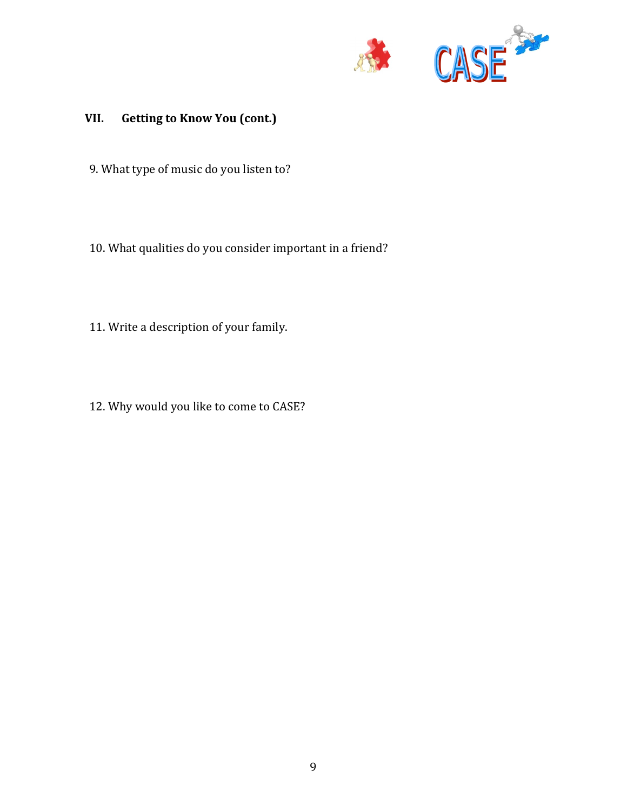

# **VII. Getting to Know You (cont.)**

- 9. What type of music do you listen to?
- 10. What qualities do you consider important in a friend?
- 11. Write a description of your family.
- 12. Why would you like to come to CASE?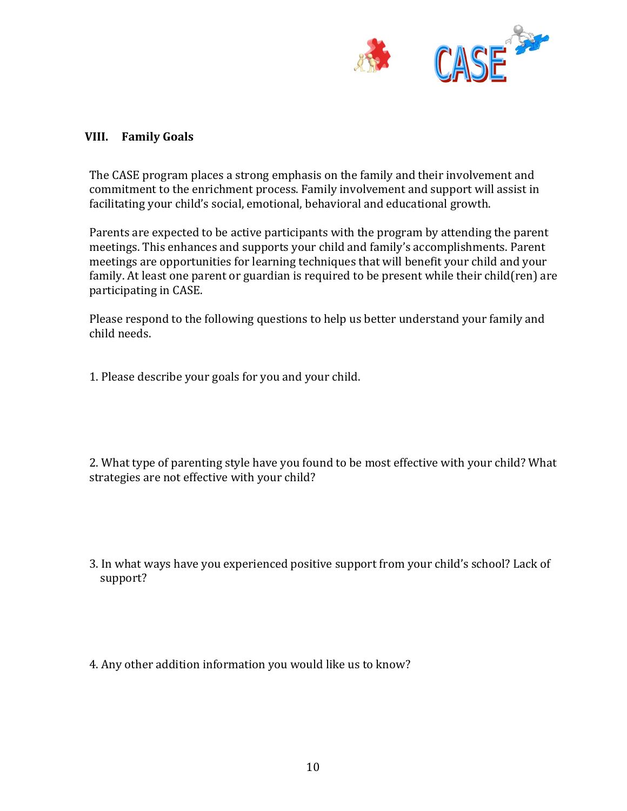

## **VIII. Family Goals**

The CASE program places a strong emphasis on the family and their involvement and commitment to the enrichment process. Family involvement and support will assist in facilitating your child's social, emotional, behavioral and educational growth.

Parents are expected to be active participants with the program by attending the parent meetings. This enhances and supports your child and family's accomplishments. Parent meetings are opportunities for learning techniques that will benefit your child and your family. At least one parent or guardian is required to be present while their child(ren) are participating in CASE.

Please respond to the following questions to help us better understand your family and child needs. 

1. Please describe your goals for you and your child.

2. What type of parenting style have you found to be most effective with your child? What strategies are not effective with your child?

- 3. In what ways have you experienced positive support from your child's school? Lack of support?
- 4. Any other addition information you would like us to know?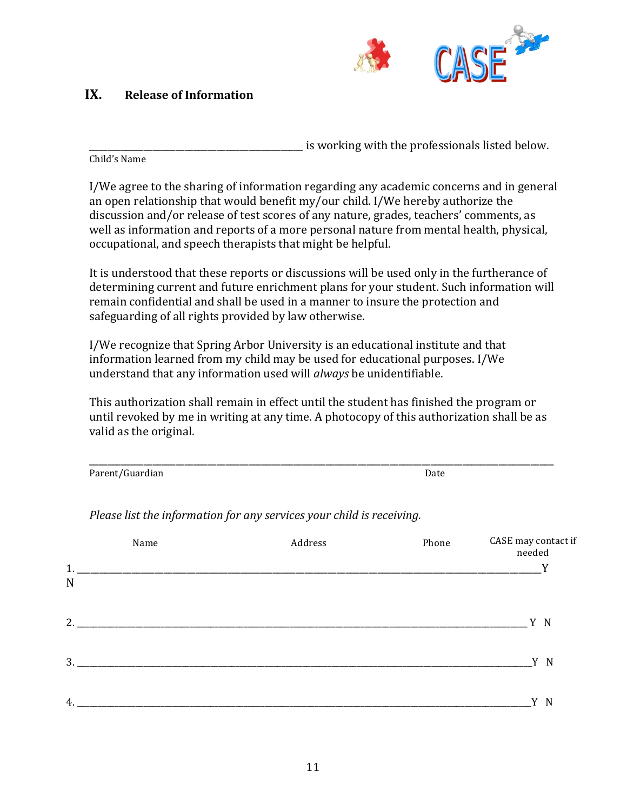

# **IX.** Release of Information

is working with the professionals listed below.

Child's Name

I/We agree to the sharing of information regarding any academic concerns and in general an open relationship that would benefit my/our child. I/We hereby authorize the discussion and/or release of test scores of any nature, grades, teachers' comments, as well as information and reports of a more personal nature from mental health, physical, occupational, and speech therapists that might be helpful.

It is understood that these reports or discussions will be used only in the furtherance of determining current and future enrichment plans for your student. Such information will remain confidential and shall be used in a manner to insure the protection and safeguarding of all rights provided by law otherwise.

I/We recognize that Spring Arbor University is an educational institute and that information learned from my child may be used for educational purposes. I/We understand that any information used will *always* be unidentifiable.

This authorization shall remain in effect until the student has finished the program or until revoked by me in writing at any time. A photocopy of this authorization shall be as valid as the original.

\_\_\_\_\_\_\_\_\_\_\_\_\_\_\_\_\_\_\_\_\_\_\_\_\_\_\_\_\_\_\_\_\_\_\_\_\_\_\_\_\_\_\_\_\_\_\_\_\_\_\_\_\_\_\_\_\_\_\_\_\_\_\_\_\_\_\_\_\_\_\_\_\_\_\_\_\_\_\_\_\_\_\_\_\_\_\_\_\_\_\_\_\_\_\_\_\_\_\_\_\_\_ Parent/Guardian **Date** 

|             | Name | Address | Phone | CASE may contact if<br>needed |
|-------------|------|---------|-------|-------------------------------|
| 1.          |      |         |       | v                             |
| $\mathbf N$ |      |         |       |                               |
|             |      |         |       |                               |
|             |      |         |       | Y N                           |
| 3.          |      |         |       | Y<br>$\mathbf N$              |
|             |      |         |       |                               |
| 4.          |      |         |       | N                             |

*Please list the information for any services your child is receiving.*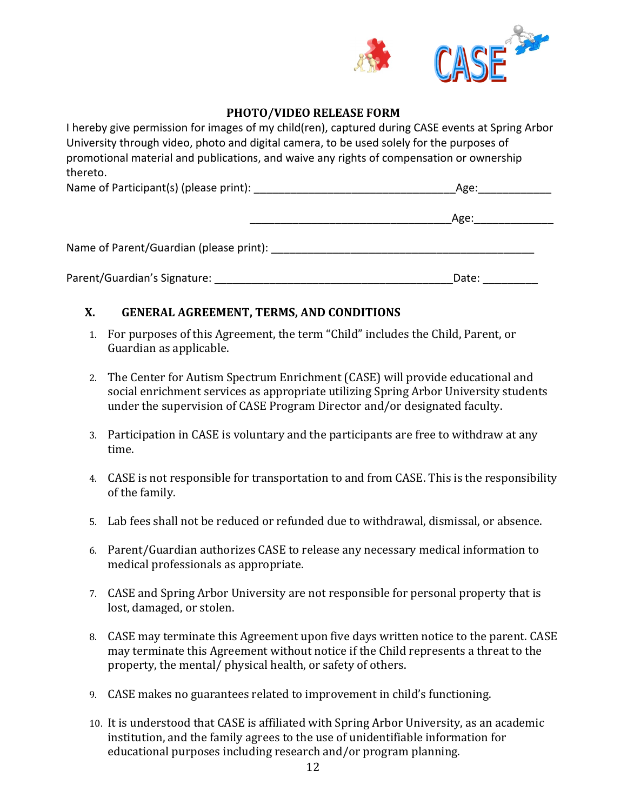

## **PHOTO/VIDEO RELEASE FORM**

I hereby give permission for images of my child(ren), captured during CASE events at Spring Arbor University through video, photo and digital camera, to be used solely for the purposes of promotional material and publications, and waive any rights of compensation or ownership thereto.

| Name of Participant(s) (please print): |  |
|----------------------------------------|--|
|----------------------------------------|--|

|                                         | Age: |
|-----------------------------------------|------|
| Name of Parent/Guardian (please print): |      |

Parent/Guardian's Signature: \_\_\_\_\_\_\_\_\_\_\_\_\_\_\_\_\_\_\_\_\_\_\_\_\_\_\_\_\_\_\_\_\_\_\_\_\_\_\_Date: \_\_\_\_\_\_\_\_\_

## **X. GENERAL AGREEMENT, TERMS, AND CONDITIONS**

- 1. For purposes of this Agreement, the term "Child" includes the Child, Parent, or Guardian as applicable.
- 2. The Center for Autism Spectrum Enrichment (CASE) will provide educational and social enrichment services as appropriate utilizing Spring Arbor University students under the supervision of CASE Program Director and/or designated faculty.
- 3. Participation in CASE is voluntary and the participants are free to withdraw at any time.
- 4. CASE is not responsible for transportation to and from CASE. This is the responsibility of the family.
- 5. Lab fees shall not be reduced or refunded due to withdrawal, dismissal, or absence.
- 6. Parent/Guardian authorizes CASE to release any necessary medical information to medical professionals as appropriate.
- 7. CASE and Spring Arbor University are not responsible for personal property that is lost, damaged, or stolen.
- 8. CASE may terminate this Agreement upon five days written notice to the parent. CASE may terminate this Agreement without notice if the Child represents a threat to the property, the mental/ physical health, or safety of others.
- 9. CASE makes no guarantees related to improvement in child's functioning.
- 10. It is understood that CASE is affiliated with Spring Arbor University, as an academic institution, and the family agrees to the use of unidentifiable information for educational purposes including research and/or program planning.